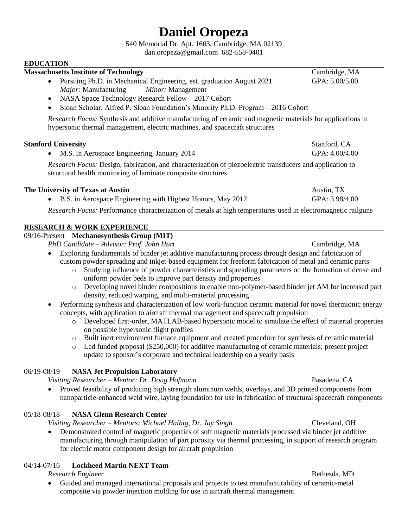# **Daniel Oropeza**

540 Memorial Dr. Apt. 1603, Cambridge, MA 02139

dan.oropeza@gmail.com 682-558-0401

#### **EDUCATION**

#### **Massachusetts Institute of Technology** Cambridge, MA

- Pursuing Ph.D. in Mechanical Engineering, est. graduation August 2021 GPA: 5.00/5.00 *Major:* Manufacturing *Minor:* Management
- NASA Space Technology Research Fellow 2017 Cohort
- Sloan Scholar, Alfred P. Sloan Foundation's Minority Ph.D. Program 2016 Cohort

*Research Focus:* Synthesis and additive manufacturing of ceramic and magnetic materials for applications in hypersonic thermal management, electric machines, and spacecraft structures

#### **Stanford University** Stanford, CA

• M.S. in Aerospace Engineering, January 2014 GPA: 4.00/4.00

*Research Focus:* Design, fabrication, and characterization of piezoelectric transducers and application to structural health monitoring of laminate composite structures

#### **The University of Texas at Austin** Austin, TX

• B.S. in Aerospace Engineering with Highest Honors, May 2012 GPA: 3.98/4.00

*Research Focus:* Performance characterization of metals at high temperatures used in electromagnetic railguns

### **RESEARCH & WORK EXPERIENCE**

## 09/16-Present **Mechanosynthesis Group (MIT)**

*PhD Candidate – Advisor: Prof. John Hart* Cambridge, MA

- Exploring fundamentals of binder jet additive manufacturing process through design and fabrication of custom powder spreading and inkjet-based equipment for freeform fabrication of metal and ceramic parts
	- o Studying influence of powder characteristics and spreading parameters on the formation of dense and uniform powder beds to improve part density and properties
	- o Developing novel binder compositions to enable non-polymer-based binder jet AM for increased part density, reduced warping, and multi-material processing
- Performing synthesis and characterization of low work-function ceramic material for novel thermionic energy concepts, with application to aircraft thermal management and spacecraft propulsion
	- o Developed first-order, MATLAB-based hypersonic model to simulate the effect of material properties on possible hypersonic flight profiles
	- o Built inert environment furnace equipment and created procedure for synthesis of ceramic material
	- o Led funded proposal (\$250,000) for additive manufacturing of ceramic materials; present project update to sponsor's corporate and technical leadership on a yearly basis

#### 06/19-08/19 **NASA Jet Propulsion Laboratory**

*Visiting Researcher – Mentor: Dr. Doug Hofmann* Pasadena, CA

• Proved feasibility of producing high strength aluminum welds, overlays, and 3D printed components from nanoparticle-enhanced weld wire, laying foundation for use in fabrication of structural spacecraft components

### 05/18-08/18 **NASA Glenn Research Center**

*Visiting Researcher – Mentors: Michael Halbig, Dr. Jay Singh* Cleveland, OH

• Demonstrated control of magnetic properties of soft magnetic materials processed via binder jet additive manufacturing through manipulation of part porosity via thermal processing, in support of research program for electric motor component design for aircraft propulsion

### 04/14-07/16 **Lockheed Martin NEXT Team**

#### *Research Engineer* Bethesda, MD

• Guided and managed international proposals and projects to test manufacturability of ceramic-metal composite via powder injection molding for use in aircraft thermal management